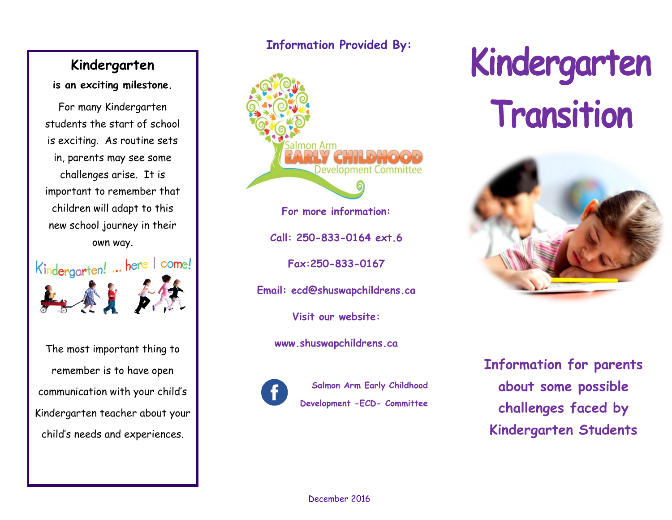# **Kindergarten**

**is an exciting milestone.**

For many Kindergarten students the start of school is exciting. As routine sets in, parents may see some challenges arise. It is important to remember that children will adapt to this new school journey in their own way.



The most important thing to remember is to have open communication with your child's Kindergarten teacher about your child's needs and experiences.

# **Information Provided By:**



# Kindergarten Transition



**Information for parents about some possible challenges faced by Kindergarten Students**